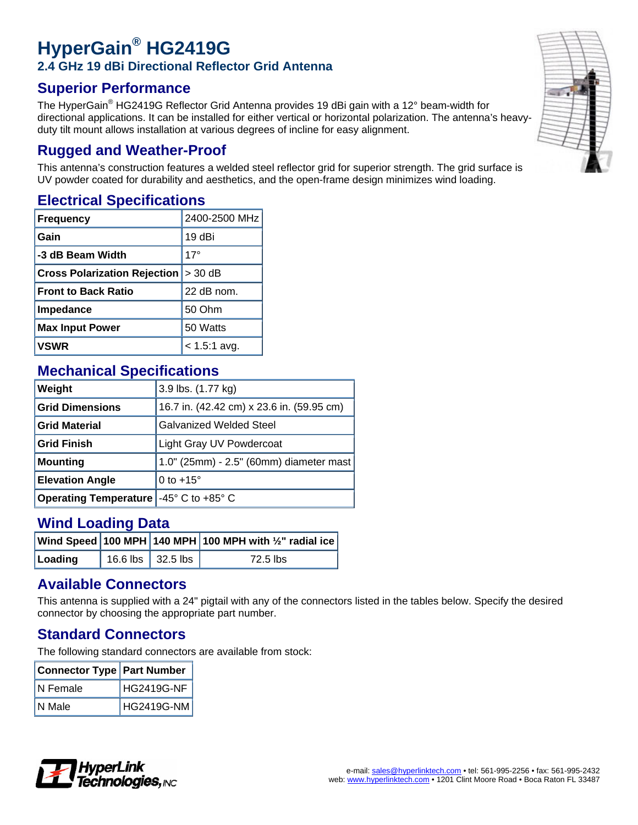# **HyperGain® HG2419G 2.4 GHz 19 dBi Directional Reflector Grid Antenna**

### **Superior Performance**

The HyperGain $^{\circledR}$  HG2419G Reflector Grid Antenna provides 19 dBi gain with a 12° beam-width for directional applications. It can be installed for either vertical or horizontal polarization. The antenna's heavyduty tilt mount allows installation at various degrees of incline for easy alignment.

#### **Rugged and Weather-Proof**

This antenna's construction features a welded steel reflector grid for superior strength. The grid surface is UV powder coated for durability and aesthetics, and the open-frame design minimizes wind loading.

#### **Electrical Specifications**

| <b>Frequency</b>                        | 2400-2500 MHz  |
|-----------------------------------------|----------------|
| Gain                                    | 19 dBi         |
| -3 dB Beam Width                        | $17^\circ$     |
| Cross Polarization Rejection $ >$ 30 dB |                |
| <b>Front to Back Ratio</b>              | 22 dB nom.     |
| Impedance                               | 50 Ohm         |
| <b>Max Input Power</b>                  | 50 Watts       |
| <b>VSWR</b>                             | $< 1.5:1$ avg. |

#### **Mechanical Specifications**

| Weight                       | 3.9 lbs. (1.77 kg)                        |
|------------------------------|-------------------------------------------|
| <b>Grid Dimensions</b>       | 16.7 in. (42.42 cm) x 23.6 in. (59.95 cm) |
| <b>Grid Material</b>         | <b>Galvanized Welded Steel</b>            |
| <b>Grid Finish</b>           | Light Gray UV Powdercoat                  |
| <b>Mounting</b>              | 1.0" (25mm) - 2.5" (60mm) diameter mast   |
| <b>Elevation Angle</b>       | 0 to $+15^\circ$                          |
| <b>Operating Temperature</b> | -45 $\degree$ C to +85 $\degree$ C        |

#### **Wind Loading Data**

|         |                     | $ $ Wind Speed $ $ 100 MPH $ $ 140 MPH $ $ 100 MPH with $\frac{1}{2}$ " radial ice $ $ |
|---------|---------------------|----------------------------------------------------------------------------------------|
| Loading | 16.6 lbs   32.5 lbs | 72.5 lbs                                                                               |

#### **Available Connectors**

This antenna is supplied with a 24" pigtail with any of the connectors listed in the tables below. Specify the desired connector by choosing the appropriate part number.

### **Standard Connectors**

The following standard connectors are available from stock:

| Connector Type Part Number |            |  |
|----------------------------|------------|--|
| N Female                   | HG2419G-NF |  |
| N Male                     | HG2419G-NM |  |